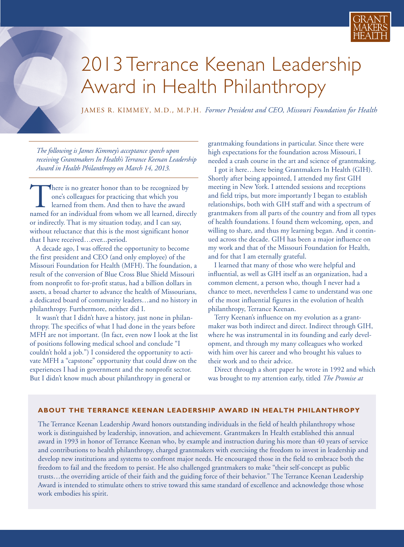

## 2013 Terrance Keenan Leadership Award in Health Philanthropy

JAMES R. KIMMEY, M.D., M.P.H. *Former President and CEO, Missouri Foundation for Health*

*The following is James Kimmey's acceptance speech upon receiving Grantmakers In Health's Terrance Keenan Leadership Award in Health Philanthropy on March 14, 2013.*

There is no greater honor than to be recognized by<br>one's colleagues for practicing that which you<br>learned from them. And then to have the award<br>named for an individual from whom we all learned, direct one's colleagues for practicing that which you learned from them. And then to have the award named for an individual from whom we all learned, directly or indirectly. That is my situation today, and I can say, without reluctance that this is the most significant honor that I have received…ever...period.

A decade ago, I was offered the opportunity to become the first president and CEO (and only employee) of the Missouri Foundation for Health (MFH). The foundation, a result of the conversion of Blue Cross Blue Shield Missouri from nonprofit to for-profit status, had a billion dollars in assets, a broad charter to advance the health of Missourians, a dedicated board of community leaders…and no history in philanthropy. Furthermore, neither did I.

It wasn't that I didn't have a history, just none in philanthropy. The specifics of what I had done in the years before MFH are not important. (In fact, even now I look at the list of positions following medical school and conclude "I couldn't hold a job.") I considered the opportunity to activate MFH a "capstone" opportunity that could draw on the experiences I had in government and the nonprofit sector. But I didn't know much about philanthropy in general or

grantmaking foundations in particular. Since there were high expectations for the foundation across Missouri, I needed a crash course in the art and science of grantmaking.

I got it here…here being Grantmakers In Health (GIH). Shortly after being appointed, I attended my first GIH meeting in New York. I attended sessions and receptions and field trips, but more importantly I began to establish relationships, both with GIH staff and with a spectrum of grantmakers from all parts of the country and from all types of health foundations. I found them welcoming, open, and willing to share, and thus my learning began. And it continued across the decade. GIH has been a major influence on my work and that of the Missouri Foundation for Health, and for that I am eternally grateful.

I learned that many of those who were helpful and influential, as well as GIH itself as an organization, had a common element, a person who, though I never had a chance to meet, nevertheless I came to understand was one of the most influential figures in the evolution of health philanthropy, Terrance Keenan.

Terry Keenan's influence on my evolution as a grantmaker was both indirect and direct. Indirect through GIH, where he was instrumental in its founding and early development, and through my many colleagues who worked with him over his career and who brought his values to their work and to their advice.

Direct through a short paper he wrote in 1992 and which was brought to my attention early, titled *The Promise at*

## **ABOUT THE TERRANCE KEENAN LEADERSHIP AWARD IN HEALTH PHILANTHROPY**

The Terrance Keenan Leadership Award honors outstanding individuals in the field of health philanthropy whose work is distinguished by leadership, innovation, and achievement. Grantmakers In Health established this annual award in 1993 in honor of Terrance Keenan who, by example and instruction during his more than 40 years of service and contributions to health philanthropy, charged grantmakers with exercising the freedom to invest in leadership and develop new institutions and systems to confront major needs. He encouraged those in the field to embrace both the freedom to fail and the freedom to persist. He also challenged grantmakers to make "their self-concept as public trusts…the overriding article of their faith and the guiding force of their behavior." The Terrance Keenan Leadership Award is intended to stimulate others to strive toward this same standard of excellence and acknowledge those whose work embodies his spirit.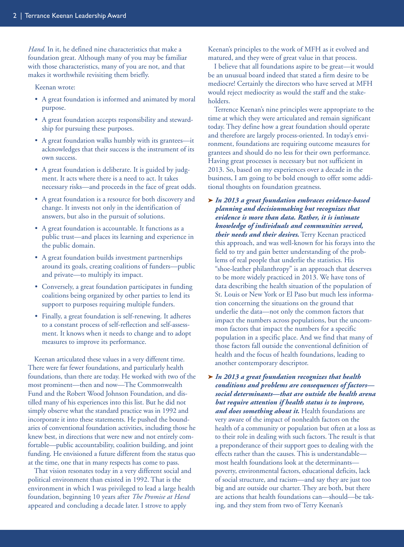*Hand*. In it, he defined nine characteristics that make a foundation great. Although many of you may be familiar with those characteristics, many of you are not, and that makes it worthwhile revisiting them briefly.

Keenan wrote:

- A great foundation is informed and animated by moral purpose.
- A great foundation accepts responsibility and stewardship for pursuing these purposes.
- A great foundation walks humbly with its grantees—it acknowledges that their success is the instrument of its own success.
- A great foundation is deliberate. It is guided by judgment. It acts where there is a need to act. It takes necessary risks—and proceeds in the face of great odds.
- A great foundation is a resource for both discovery and change. It invests not only in the identification of answers, but also in the pursuit of solutions.
- A great foundation is accountable. It functions as a public trust—and places its learning and experience in the public domain.
- A great foundation builds investment partnerships around its goals, creating coalitions of funders—public and private—to multiply its impact.
- Conversely, a great foundation participates in funding coalitions being organized by other parties to lend its support to purposes requiring multiple funders.
- Finally, a great foundation is self-renewing. It adheres to a constant process of self-reflection and self-assessment. It knows when it needs to change and to adopt measures to improve its performance.

Keenan articulated these values in a very different time. There were far fewer foundations, and particularly health foundations, than there are today. He worked with two of the most prominent—then and now—The Commonwealth Fund and the Robert Wood Johnson Foundation, and distilled many of his experiences into this list. But he did not simply observe what the standard practice was in 1992 and incorporate it into these statements. He pushed the boundaries of conventional foundation activities, including those he knew best, in directions that were new and not entirely comfortable—public accountability, coalition building, and joint funding. He envisioned a future different from the status quo at the time, one that in many respects has come to pass.

That vision resonates today in a very different social and political environment than existed in 1992. That is the environment in which I was privileged to lead a large health foundation, beginning 10 years after *The Promise at Hand* appeared and concluding a decade later. I strove to apply

Keenan's principles to the work of MFH as it evolved and matured, and they were of great value in that process.

I believe that all foundations aspire to be great—it would be an unusual board indeed that stated a firm desire to be mediocre! Certainly the directors who have served at MFH would reject mediocrity as would the staff and the stakeholders.

Terrence Keenan's nine principles were appropriate to the time at which they were articulated and remain significant today. They define how a great foundation should operate and therefore are largely process-oriented. In today's environment, foundations are requiring outcome measures for grantees and should do no less for their own performance. Having great processes is necessary but not sufficient in 2013. So, based on my experiences over a decade in the business, I am going to be bold enough to offer some additional thoughts on foundation greatness.

**➤** *In 2013 a great foundation embraces evidence-based planning and decisionmaking but recognizes that evidence is more than data. Rather, it is intimate knowledge of individuals and communities served, their needs and their desires***.** Terry Keenan practiced this approach, and was well-known for his forays into the field to try and gain better understanding of the problems of real people that underlie the statistics. His "shoe-leather philanthropy" is an approach that deserves to be more widely practiced in 2013. We have tons of data describing the health situation of the population of St. Louis or New York or El Paso but much less information concerning the situations on the ground that underlie the data—not only the common factors that impact the numbers across populations, but the uncommon factors that impact the numbers for a specific population in a specific place. And we find that many of those factors fall outside the conventional definition of health and the focus of health foundations, leading to another contemporary descriptor.

**➤** *In 2013 a great foundation recognizes that health conditions and problems are consequences of factors social determinants—that are outside the health arena but require attention if health status is to improve, and does something about it.* Health foundations are very aware of the impact of nonhealth factors on the health of a community or population but often at a loss as to their role in dealing with such factors. The result is that a preponderance of their support goes to dealing with the effects rather than the causes. This is understandable most health foundations look at the determinants poverty, environmental factors, educational deficits, lack of social structure, and racism—and say they are just too big and are outside our charter. They are both, but there are actions that health foundations can—should—be taking, and they stem from two of Terry Keenan's